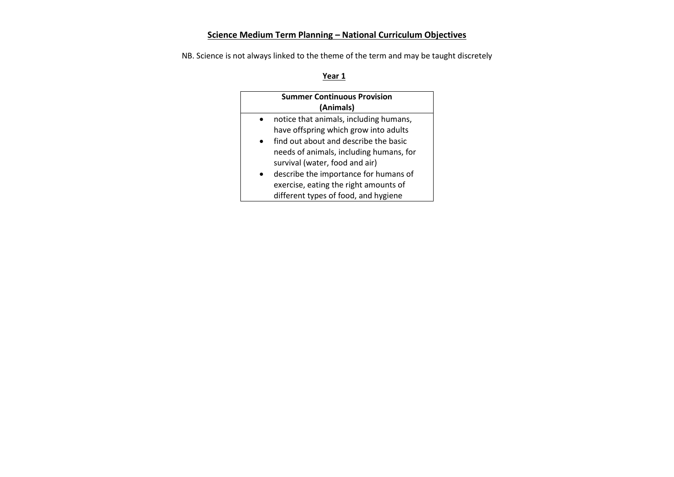# **Science Medium Term Planning – National Curriculum Objectives**

NB. Science is not always linked to the theme of the term and may be taught discretely

| <b>Summer Continuous Provision</b> |                                         |  |
|------------------------------------|-----------------------------------------|--|
| (Animals)                          |                                         |  |
|                                    | notice that animals, including humans,  |  |
|                                    | have offspring which grow into adults   |  |
|                                    | find out about and describe the basic   |  |
|                                    | needs of animals, including humans, for |  |
|                                    | survival (water, food and air)          |  |
|                                    | describe the importance for humans of   |  |
|                                    | exercise, eating the right amounts of   |  |
|                                    | different types of food, and hygiene    |  |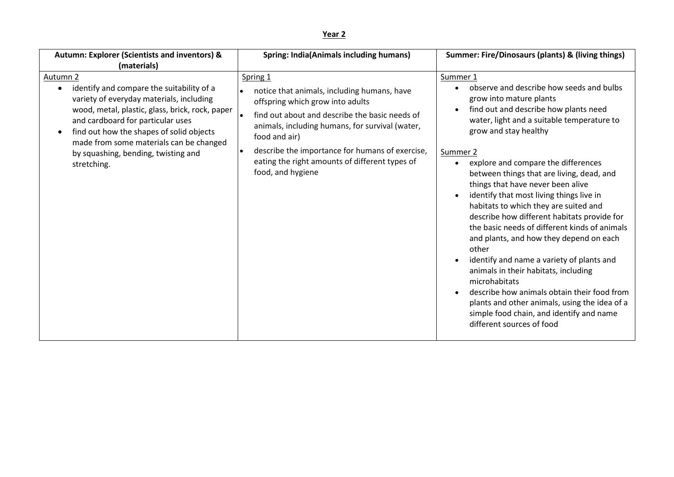| Autumn: Explorer (Scientists and inventors) &<br>(materials)                                                                                                                                                                                                                                                                                                                | <b>Spring: India(Animals including humans)</b>                                                                                                                                                                                                                                                                                              | Summer: Fire/Dinosaurs (plants) & (living things)                                                                                                                                                                                                                                                                                                                                                                                                                                                                                                                                                                                                                                                                                                                                                                                                                                      |
|-----------------------------------------------------------------------------------------------------------------------------------------------------------------------------------------------------------------------------------------------------------------------------------------------------------------------------------------------------------------------------|---------------------------------------------------------------------------------------------------------------------------------------------------------------------------------------------------------------------------------------------------------------------------------------------------------------------------------------------|----------------------------------------------------------------------------------------------------------------------------------------------------------------------------------------------------------------------------------------------------------------------------------------------------------------------------------------------------------------------------------------------------------------------------------------------------------------------------------------------------------------------------------------------------------------------------------------------------------------------------------------------------------------------------------------------------------------------------------------------------------------------------------------------------------------------------------------------------------------------------------------|
| Autumn <sub>2</sub><br>identify and compare the suitability of a<br>$\bullet$<br>variety of everyday materials, including<br>wood, metal, plastic, glass, brick, rock, paper<br>and cardboard for particular uses<br>find out how the shapes of solid objects<br>$\bullet$<br>made from some materials can be changed<br>by squashing, bending, twisting and<br>stretching. | Spring 1<br>notice that animals, including humans, have<br>offspring which grow into adults<br>find out about and describe the basic needs of<br>animals, including humans, for survival (water,<br>food and air)<br>describe the importance for humans of exercise,<br>eating the right amounts of different types of<br>food, and hygiene | Summer 1<br>observe and describe how seeds and bulbs<br>grow into mature plants<br>find out and describe how plants need<br>water, light and a suitable temperature to<br>grow and stay healthy<br>Summer 2<br>explore and compare the differences<br>$\bullet$<br>between things that are living, dead, and<br>things that have never been alive<br>identify that most living things live in<br>habitats to which they are suited and<br>describe how different habitats provide for<br>the basic needs of different kinds of animals<br>and plants, and how they depend on each<br>other<br>identify and name a variety of plants and<br>$\bullet$<br>animals in their habitats, including<br>microhabitats<br>describe how animals obtain their food from<br>plants and other animals, using the idea of a<br>simple food chain, and identify and name<br>different sources of food |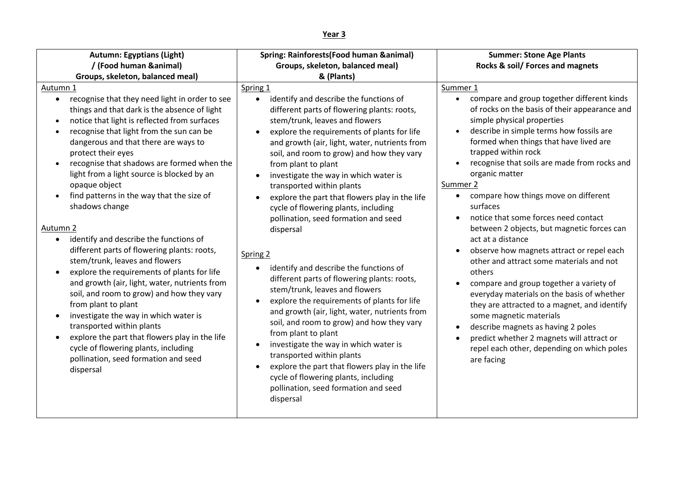| Autumn: Egyptians (Light)                                                                                                                                                                                                                                                                                                                                                                                                                                                                                                                                                                                                                                                                                                                                                                                                                                                                                                                                                                                  | Spring: Rainforests(Food human & animal)                                                                                                                                                                                                                                                                                                                                                                                                                                                                                                                                                                                                                                                                                                                                                                                                                                                                                                                                                                                                                                                                         | <b>Summer: Stone Age Plants</b>                                                                                                                                                                                                                                                                                                                                                                                                                                                                                                                                                                                                                                                                                                                                                                                                                                                                                                                 |
|------------------------------------------------------------------------------------------------------------------------------------------------------------------------------------------------------------------------------------------------------------------------------------------------------------------------------------------------------------------------------------------------------------------------------------------------------------------------------------------------------------------------------------------------------------------------------------------------------------------------------------------------------------------------------------------------------------------------------------------------------------------------------------------------------------------------------------------------------------------------------------------------------------------------------------------------------------------------------------------------------------|------------------------------------------------------------------------------------------------------------------------------------------------------------------------------------------------------------------------------------------------------------------------------------------------------------------------------------------------------------------------------------------------------------------------------------------------------------------------------------------------------------------------------------------------------------------------------------------------------------------------------------------------------------------------------------------------------------------------------------------------------------------------------------------------------------------------------------------------------------------------------------------------------------------------------------------------------------------------------------------------------------------------------------------------------------------------------------------------------------------|-------------------------------------------------------------------------------------------------------------------------------------------------------------------------------------------------------------------------------------------------------------------------------------------------------------------------------------------------------------------------------------------------------------------------------------------------------------------------------------------------------------------------------------------------------------------------------------------------------------------------------------------------------------------------------------------------------------------------------------------------------------------------------------------------------------------------------------------------------------------------------------------------------------------------------------------------|
| / (Food human & animal)                                                                                                                                                                                                                                                                                                                                                                                                                                                                                                                                                                                                                                                                                                                                                                                                                                                                                                                                                                                    | Groups, skeleton, balanced meal)                                                                                                                                                                                                                                                                                                                                                                                                                                                                                                                                                                                                                                                                                                                                                                                                                                                                                                                                                                                                                                                                                 | Rocks & soil/ Forces and magnets                                                                                                                                                                                                                                                                                                                                                                                                                                                                                                                                                                                                                                                                                                                                                                                                                                                                                                                |
| Groups, skeleton, balanced meal)                                                                                                                                                                                                                                                                                                                                                                                                                                                                                                                                                                                                                                                                                                                                                                                                                                                                                                                                                                           | & (Plants)                                                                                                                                                                                                                                                                                                                                                                                                                                                                                                                                                                                                                                                                                                                                                                                                                                                                                                                                                                                                                                                                                                       |                                                                                                                                                                                                                                                                                                                                                                                                                                                                                                                                                                                                                                                                                                                                                                                                                                                                                                                                                 |
| Autumn 1<br>recognise that they need light in order to see<br>$\bullet$<br>things and that dark is the absence of light<br>notice that light is reflected from surfaces<br>recognise that light from the sun can be<br>dangerous and that there are ways to<br>protect their eyes<br>recognise that shadows are formed when the<br>light from a light source is blocked by an<br>opaque object<br>find patterns in the way that the size of<br>shadows change<br>Autumn 2<br>identify and describe the functions of<br>different parts of flowering plants: roots,<br>stem/trunk, leaves and flowers<br>explore the requirements of plants for life<br>$\bullet$<br>and growth (air, light, water, nutrients from<br>soil, and room to grow) and how they vary<br>from plant to plant<br>investigate the way in which water is<br>transported within plants<br>explore the part that flowers play in the life<br>cycle of flowering plants, including<br>pollination, seed formation and seed<br>dispersal | Spring 1<br>identify and describe the functions of<br>$\bullet$<br>different parts of flowering plants: roots,<br>stem/trunk, leaves and flowers<br>explore the requirements of plants for life<br>and growth (air, light, water, nutrients from<br>soil, and room to grow) and how they vary<br>from plant to plant<br>investigate the way in which water is<br>$\bullet$<br>transported within plants<br>explore the part that flowers play in the life<br>cycle of flowering plants, including<br>pollination, seed formation and seed<br>dispersal<br>Spring 2<br>identify and describe the functions of<br>$\bullet$<br>different parts of flowering plants: roots,<br>stem/trunk, leaves and flowers<br>explore the requirements of plants for life<br>and growth (air, light, water, nutrients from<br>soil, and room to grow) and how they vary<br>from plant to plant<br>investigate the way in which water is<br>transported within plants<br>explore the part that flowers play in the life<br>$\bullet$<br>cycle of flowering plants, including<br>pollination, seed formation and seed<br>dispersal | Summer 1<br>compare and group together different kinds<br>of rocks on the basis of their appearance and<br>simple physical properties<br>describe in simple terms how fossils are<br>formed when things that have lived are<br>trapped within rock<br>recognise that soils are made from rocks and<br>organic matter<br>Summer 2<br>compare how things move on different<br>$\bullet$<br>surfaces<br>notice that some forces need contact<br>between 2 objects, but magnetic forces can<br>act at a distance<br>observe how magnets attract or repel each<br>other and attract some materials and not<br>others<br>compare and group together a variety of<br>everyday materials on the basis of whether<br>they are attracted to a magnet, and identify<br>some magnetic materials<br>describe magnets as having 2 poles<br>predict whether 2 magnets will attract or<br>$\bullet$<br>repel each other, depending on which poles<br>are facing |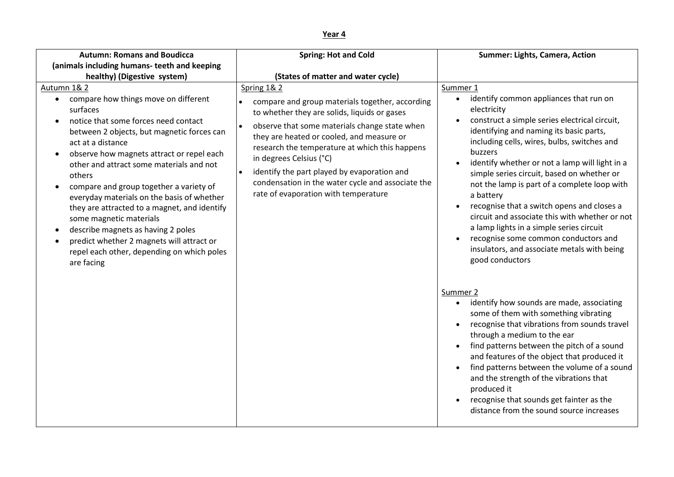| <b>Autumn: Romans and Boudicca</b>                                                                                                                                                                                                                                                                                                                                                                                                                                                                                                                                                                                         | <b>Spring: Hot and Cold</b>                                                                                                                                                                                                                                                                                                                                                                                                           | Summer: Lights, Camera, Action                                                                                                                                                                                                                                                                                                                                                                                                                                                                                                                                                                                                                                                    |
|----------------------------------------------------------------------------------------------------------------------------------------------------------------------------------------------------------------------------------------------------------------------------------------------------------------------------------------------------------------------------------------------------------------------------------------------------------------------------------------------------------------------------------------------------------------------------------------------------------------------------|---------------------------------------------------------------------------------------------------------------------------------------------------------------------------------------------------------------------------------------------------------------------------------------------------------------------------------------------------------------------------------------------------------------------------------------|-----------------------------------------------------------------------------------------------------------------------------------------------------------------------------------------------------------------------------------------------------------------------------------------------------------------------------------------------------------------------------------------------------------------------------------------------------------------------------------------------------------------------------------------------------------------------------------------------------------------------------------------------------------------------------------|
| (animals including humans- teeth and keeping                                                                                                                                                                                                                                                                                                                                                                                                                                                                                                                                                                               |                                                                                                                                                                                                                                                                                                                                                                                                                                       |                                                                                                                                                                                                                                                                                                                                                                                                                                                                                                                                                                                                                                                                                   |
| healthy) (Digestive system)                                                                                                                                                                                                                                                                                                                                                                                                                                                                                                                                                                                                | (States of matter and water cycle)                                                                                                                                                                                                                                                                                                                                                                                                    |                                                                                                                                                                                                                                                                                                                                                                                                                                                                                                                                                                                                                                                                                   |
| Autumn 1& 2<br>compare how things move on different<br>surfaces<br>notice that some forces need contact<br>between 2 objects, but magnetic forces can<br>act at a distance<br>observe how magnets attract or repel each<br>$\bullet$<br>other and attract some materials and not<br>others<br>compare and group together a variety of<br>$\bullet$<br>everyday materials on the basis of whether<br>they are attracted to a magnet, and identify<br>some magnetic materials<br>describe magnets as having 2 poles<br>predict whether 2 magnets will attract or<br>repel each other, depending on which poles<br>are facing | Spring 1& 2<br>compare and group materials together, according<br>to whether they are solids, liquids or gases<br>observe that some materials change state when<br>they are heated or cooled, and measure or<br>research the temperature at which this happens<br>in degrees Celsius (°C)<br>identify the part played by evaporation and<br>condensation in the water cycle and associate the<br>rate of evaporation with temperature | Summer 1<br>identify common appliances that run on<br>$\bullet$<br>electricity<br>construct a simple series electrical circuit,<br>identifying and naming its basic parts,<br>including cells, wires, bulbs, switches and<br>buzzers<br>identify whether or not a lamp will light in a<br>simple series circuit, based on whether or<br>not the lamp is part of a complete loop with<br>a battery<br>recognise that a switch opens and closes a<br>$\bullet$<br>circuit and associate this with whether or not<br>a lamp lights in a simple series circuit<br>recognise some common conductors and<br>$\bullet$<br>insulators, and associate metals with being<br>good conductors |
|                                                                                                                                                                                                                                                                                                                                                                                                                                                                                                                                                                                                                            |                                                                                                                                                                                                                                                                                                                                                                                                                                       | Summer 2<br>identify how sounds are made, associating<br>$\bullet$<br>some of them with something vibrating<br>recognise that vibrations from sounds travel<br>$\bullet$<br>through a medium to the ear<br>find patterns between the pitch of a sound<br>and features of the object that produced it<br>find patterns between the volume of a sound<br>$\bullet$<br>and the strength of the vibrations that<br>produced it<br>recognise that sounds get fainter as the<br>$\bullet$<br>distance from the sound source increases                                                                                                                                                   |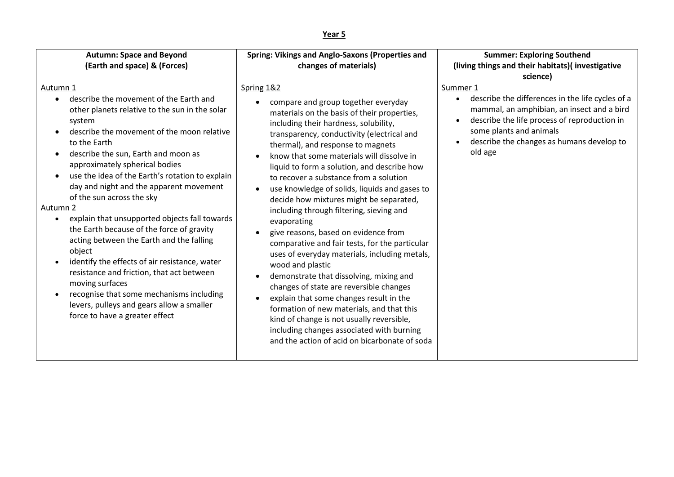| <b>Autumn: Space and Beyond</b><br>(Earth and space) & (Forces)                                                                                                                                                                                                                                                                                                                                                                                                                                                                                                                                                                                                                                                                                                                              | Spring: Vikings and Anglo-Saxons (Properties and<br>changes of materials)                                                                                                                                                                                                                                                                                                                                                                                                                                                                                                                                                                                                                                                                                                                                                                                                                                                                                                                                                                   | <b>Summer: Exploring Southend</b><br>(living things and their habitats) (investigative<br>science)                                                                                                                                                                      |
|----------------------------------------------------------------------------------------------------------------------------------------------------------------------------------------------------------------------------------------------------------------------------------------------------------------------------------------------------------------------------------------------------------------------------------------------------------------------------------------------------------------------------------------------------------------------------------------------------------------------------------------------------------------------------------------------------------------------------------------------------------------------------------------------|---------------------------------------------------------------------------------------------------------------------------------------------------------------------------------------------------------------------------------------------------------------------------------------------------------------------------------------------------------------------------------------------------------------------------------------------------------------------------------------------------------------------------------------------------------------------------------------------------------------------------------------------------------------------------------------------------------------------------------------------------------------------------------------------------------------------------------------------------------------------------------------------------------------------------------------------------------------------------------------------------------------------------------------------|-------------------------------------------------------------------------------------------------------------------------------------------------------------------------------------------------------------------------------------------------------------------------|
| Autumn 1<br>describe the movement of the Earth and<br>other planets relative to the sun in the solar<br>system<br>describe the movement of the moon relative<br>to the Earth<br>describe the sun, Earth and moon as<br>approximately spherical bodies<br>use the idea of the Earth's rotation to explain<br>day and night and the apparent movement<br>of the sun across the sky<br>Autumn 2<br>explain that unsupported objects fall towards<br>the Earth because of the force of gravity<br>acting between the Earth and the falling<br>object<br>identify the effects of air resistance, water<br>resistance and friction, that act between<br>moving surfaces<br>recognise that some mechanisms including<br>levers, pulleys and gears allow a smaller<br>force to have a greater effect | Spring 1&2<br>compare and group together everyday<br>materials on the basis of their properties,<br>including their hardness, solubility,<br>transparency, conductivity (electrical and<br>thermal), and response to magnets<br>know that some materials will dissolve in<br>liquid to form a solution, and describe how<br>to recover a substance from a solution<br>use knowledge of solids, liquids and gases to<br>$\bullet$<br>decide how mixtures might be separated,<br>including through filtering, sieving and<br>evaporating<br>give reasons, based on evidence from<br>comparative and fair tests, for the particular<br>uses of everyday materials, including metals,<br>wood and plastic<br>demonstrate that dissolving, mixing and<br>$\bullet$<br>changes of state are reversible changes<br>explain that some changes result in the<br>formation of new materials, and that this<br>kind of change is not usually reversible,<br>including changes associated with burning<br>and the action of acid on bicarbonate of soda | Summer 1<br>describe the differences in the life cycles of a<br>$\bullet$<br>mammal, an amphibian, an insect and a bird<br>describe the life process of reproduction in<br>$\bullet$<br>some plants and animals<br>describe the changes as humans develop to<br>old age |